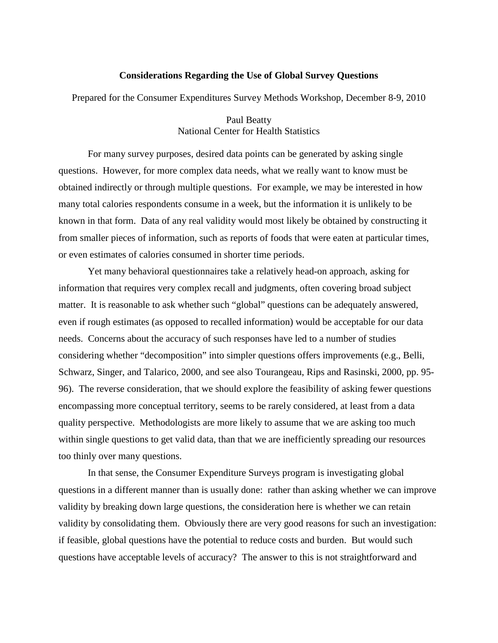#### **Considerations Regarding the Use of Global Survey Questions**

Prepared for the Consumer Expenditures Survey Methods Workshop, December 8-9, 2010

Paul Beatty National Center for Health Statistics

 For many survey purposes, desired data points can be generated by asking single questions. However, for more complex data needs, what we really want to know must be obtained indirectly or through multiple questions. For example, we may be interested in how many total calories respondents consume in a week, but the information it is unlikely to be known in that form. Data of any real validity would most likely be obtained by constructing it from smaller pieces of information, such as reports of foods that were eaten at particular times, or even estimates of calories consumed in shorter time periods.

Yet many behavioral questionnaires take a relatively head-on approach, asking for information that requires very complex recall and judgments, often covering broad subject matter. It is reasonable to ask whether such "global" questions can be adequately answered, even if rough estimates (as opposed to recalled information) would be acceptable for our data needs. Concerns about the accuracy of such responses have led to a number of studies considering whether "decomposition" into simpler questions offers improvements (e.g., Belli, Schwarz, Singer, and Talarico, 2000, and see also Tourangeau, Rips and Rasinski, 2000, pp. 95- 96). The reverse consideration, that we should explore the feasibility of asking fewer questions encompassing more conceptual territory, seems to be rarely considered, at least from a data quality perspective. Methodologists are more likely to assume that we are asking too much within single questions to get valid data, than that we are inefficiently spreading our resources too thinly over many questions.

 In that sense, the Consumer Expenditure Surveys program is investigating global questions in a different manner than is usually done: rather than asking whether we can improve validity by breaking down large questions, the consideration here is whether we can retain validity by consolidating them. Obviously there are very good reasons for such an investigation: if feasible, global questions have the potential to reduce costs and burden. But would such questions have acceptable levels of accuracy? The answer to this is not straightforward and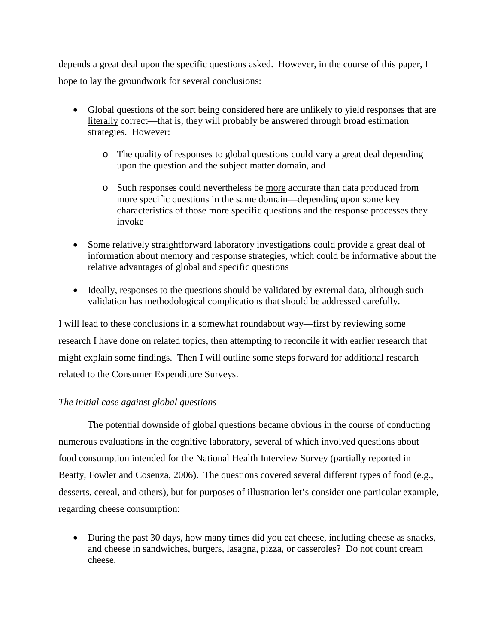depends a great deal upon the specific questions asked. However, in the course of this paper, I hope to lay the groundwork for several conclusions:

- Global questions of the sort being considered here are unlikely to yield responses that are literally correct—that is, they will probably be answered through broad estimation strategies. However:
	- o The quality of responses to global questions could vary a great deal depending upon the question and the subject matter domain, and
	- o Such responses could nevertheless be more accurate than data produced from more specific questions in the same domain—depending upon some key characteristics of those more specific questions and the response processes they invoke
- Some relatively straightforward laboratory investigations could provide a great deal of information about memory and response strategies, which could be informative about the relative advantages of global and specific questions
- Ideally, responses to the questions should be validated by external data, although such validation has methodological complications that should be addressed carefully.

I will lead to these conclusions in a somewhat roundabout way—first by reviewing some research I have done on related topics, then attempting to reconcile it with earlier research that might explain some findings. Then I will outline some steps forward for additional research related to the Consumer Expenditure Surveys.

# *The initial case against global questions*

The potential downside of global questions became obvious in the course of conducting numerous evaluations in the cognitive laboratory, several of which involved questions about food consumption intended for the National Health Interview Survey (partially reported in Beatty, Fowler and Cosenza, 2006). The questions covered several different types of food (e.g., desserts, cereal, and others), but for purposes of illustration let's consider one particular example, regarding cheese consumption:

• During the past 30 days, how many times did you eat cheese, including cheese as snacks, and cheese in sandwiches, burgers, lasagna, pizza, or casseroles? Do not count cream cheese.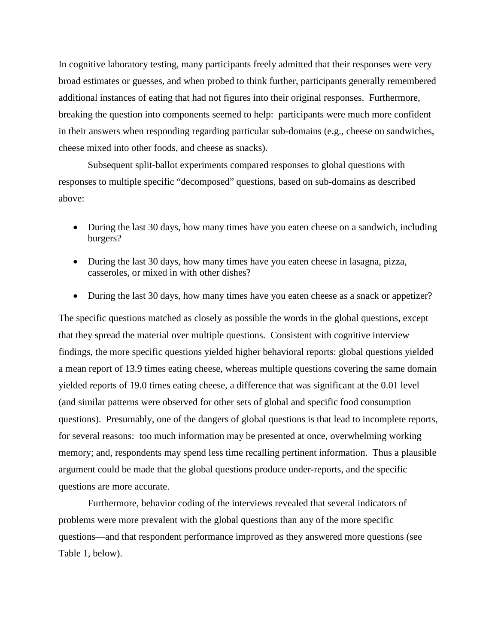In cognitive laboratory testing, many participants freely admitted that their responses were very broad estimates or guesses, and when probed to think further, participants generally remembered additional instances of eating that had not figures into their original responses. Furthermore, breaking the question into components seemed to help: participants were much more confident in their answers when responding regarding particular sub-domains (e.g., cheese on sandwiches, cheese mixed into other foods, and cheese as snacks).

 Subsequent split-ballot experiments compared responses to global questions with responses to multiple specific "decomposed" questions, based on sub-domains as described above:

- During the last 30 days, how many times have you eaten cheese on a sandwich, including burgers?
- During the last 30 days, how many times have you eaten cheese in lasagna, pizza, casseroles, or mixed in with other dishes?
- During the last 30 days, how many times have you eaten cheese as a snack or appetizer?

The specific questions matched as closely as possible the words in the global questions, except that they spread the material over multiple questions. Consistent with cognitive interview findings, the more specific questions yielded higher behavioral reports: global questions yielded a mean report of 13.9 times eating cheese, whereas multiple questions covering the same domain yielded reports of 19.0 times eating cheese, a difference that was significant at the 0.01 level (and similar patterns were observed for other sets of global and specific food consumption questions). Presumably, one of the dangers of global questions is that lead to incomplete reports, for several reasons: too much information may be presented at once, overwhelming working memory; and, respondents may spend less time recalling pertinent information. Thus a plausible argument could be made that the global questions produce under-reports, and the specific questions are more accurate.

Furthermore, behavior coding of the interviews revealed that several indicators of problems were more prevalent with the global questions than any of the more specific questions—and that respondent performance improved as they answered more questions (see Table 1, below).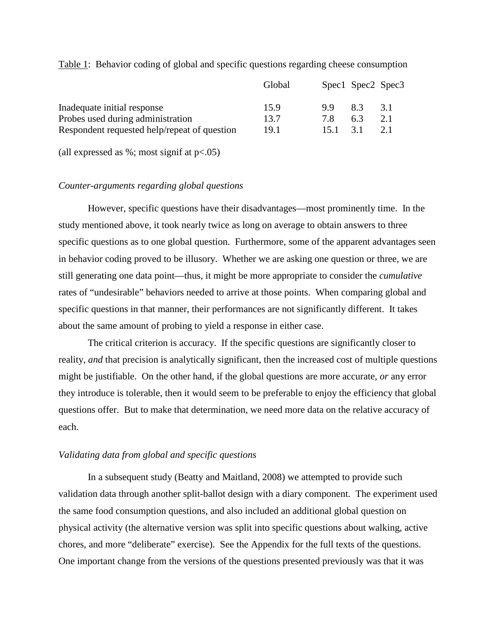|                                              | Global |     | Spec1 Spec2 Spec3 |     |
|----------------------------------------------|--------|-----|-------------------|-----|
| Inadequate initial response                  | 15.9   | 99  | 83                | 31  |
| Probes used during administration            | 13.7   | 7 X | 63                | 2.1 |
| Respondent requested help/repeat of question | 19.1   | 151 | 31                | 21  |

Table 1: Behavior coding of global and specific questions regarding cheese consumption

(all expressed as  $\%$ ; most signif at  $p<.05$ )

#### *Counter-arguments regarding global questions*

However, specific questions have their disadvantages—most prominently time. In the study mentioned above, it took nearly twice as long on average to obtain answers to three specific questions as to one global question. Furthermore, some of the apparent advantages seen in behavior coding proved to be illusory. Whether we are asking one question or three, we are still generating one data point—thus, it might be more appropriate to consider the *cumulative* rates of "undesirable" behaviors needed to arrive at those points. When comparing global and specific questions in that manner, their performances are not significantly different. It takes about the same amount of probing to yield a response in either case.

 The critical criterion is accuracy. If the specific questions are significantly closer to reality, *and* that precision is analytically significant, then the increased cost of multiple questions might be justifiable. On the other hand, if the global questions are more accurate, *or* any error they introduce is tolerable, then it would seem to be preferable to enjoy the efficiency that global questions offer. But to make that determination, we need more data on the relative accuracy of each.

#### *Validating data from global and specific questions*

 In a subsequent study (Beatty and Maitland, 2008) we attempted to provide such validation data through another split-ballot design with a diary component. The experiment used the same food consumption questions, and also included an additional global question on physical activity (the alternative version was split into specific questions about walking, active chores, and more "deliberate" exercise). See the Appendix for the full texts of the questions. One important change from the versions of the questions presented previously was that it was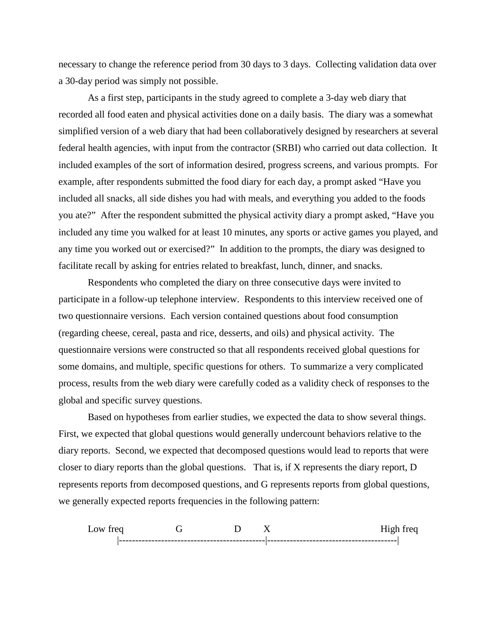necessary to change the reference period from 30 days to 3 days. Collecting validation data over a 30-day period was simply not possible.

As a first step, participants in the study agreed to complete a 3-day web diary that recorded all food eaten and physical activities done on a daily basis. The diary was a somewhat simplified version of a web diary that had been collaboratively designed by researchers at several federal health agencies, with input from the contractor (SRBI) who carried out data collection. It included examples of the sort of information desired, progress screens, and various prompts. For example, after respondents submitted the food diary for each day, a prompt asked "Have you included all snacks, all side dishes you had with meals, and everything you added to the foods you ate?" After the respondent submitted the physical activity diary a prompt asked, "Have you included any time you walked for at least 10 minutes, any sports or active games you played, and any time you worked out or exercised?" In addition to the prompts, the diary was designed to facilitate recall by asking for entries related to breakfast, lunch, dinner, and snacks.

Respondents who completed the diary on three consecutive days were invited to participate in a follow-up telephone interview. Respondents to this interview received one of two questionnaire versions. Each version contained questions about food consumption (regarding cheese, cereal, pasta and rice, desserts, and oils) and physical activity. The questionnaire versions were constructed so that all respondents received global questions for some domains, and multiple, specific questions for others. To summarize a very complicated process, results from the web diary were carefully coded as a validity check of responses to the global and specific survey questions.

Based on hypotheses from earlier studies, we expected the data to show several things. First, we expected that global questions would generally undercount behaviors relative to the diary reports. Second, we expected that decomposed questions would lead to reports that were closer to diary reports than the global questions. That is, if X represents the diary report, D represents reports from decomposed questions, and G represents reports from global questions, we generally expected reports frequencies in the following pattern:

Low freq G D X High freq |---------------------------------------------|----------------------------------------|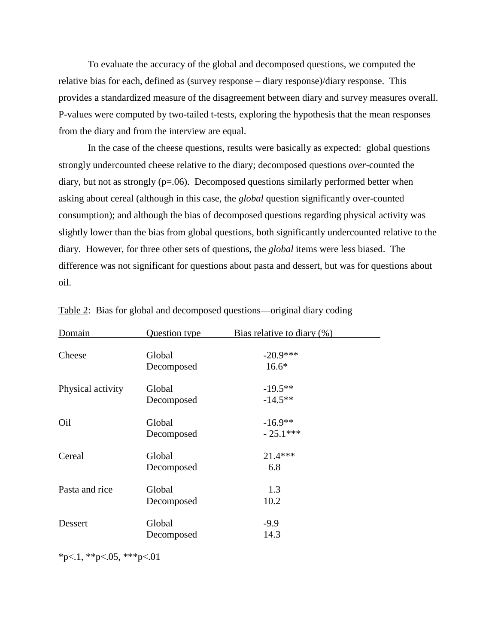To evaluate the accuracy of the global and decomposed questions, we computed the relative bias for each, defined as (survey response – diary response)/diary response. This provides a standardized measure of the disagreement between diary and survey measures overall. P-values were computed by two-tailed t-tests, exploring the hypothesis that the mean responses from the diary and from the interview are equal.

In the case of the cheese questions, results were basically as expected: global questions strongly undercounted cheese relative to the diary; decomposed questions *over*-counted the diary, but not as strongly (p=.06). Decomposed questions similarly performed better when asking about cereal (although in this case, the *global* question significantly over-counted consumption); and although the bias of decomposed questions regarding physical activity was slightly lower than the bias from global questions, both significantly undercounted relative to the diary. However, for three other sets of questions, the *global* items were less biased. The difference was not significant for questions about pasta and dessert, but was for questions about oil.

| Domain            | Question type        | Bias relative to diary $(\%)$ |
|-------------------|----------------------|-------------------------------|
| Cheese            | Global<br>Decomposed | $-20.9***$<br>$16.6*$         |
| Physical activity | Global<br>Decomposed | $-19.5**$<br>$-14.5***$       |
| Oil               | Global<br>Decomposed | $-16.9**$<br>$-25.1***$       |
| Cereal            | Global<br>Decomposed | 21.4***<br>6.8                |
| Pasta and rice    | Global<br>Decomposed | 1.3<br>10.2                   |
| Dessert           | Global<br>Decomposed | $-9.9$<br>14.3                |

|  |  | Table 2: Bias for global and decomposed questions—original diary coding |  |  |
|--|--|-------------------------------------------------------------------------|--|--|
|  |  |                                                                         |  |  |

 $*p<.1$ ,  $*p<.05$ ,  $**p<.01$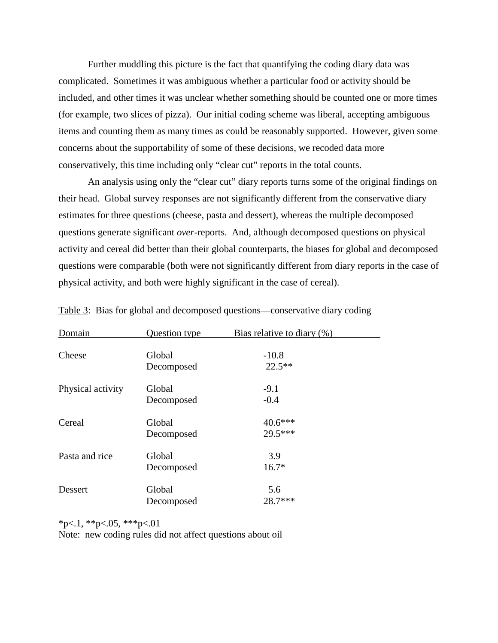Further muddling this picture is the fact that quantifying the coding diary data was complicated. Sometimes it was ambiguous whether a particular food or activity should be included, and other times it was unclear whether something should be counted one or more times (for example, two slices of pizza). Our initial coding scheme was liberal, accepting ambiguous items and counting them as many times as could be reasonably supported. However, given some concerns about the supportability of some of these decisions, we recoded data more conservatively, this time including only "clear cut" reports in the total counts.

 An analysis using only the "clear cut" diary reports turns some of the original findings on their head. Global survey responses are not significantly different from the conservative diary estimates for three questions (cheese, pasta and dessert), whereas the multiple decomposed questions generate significant *over*-reports. And, although decomposed questions on physical activity and cereal did better than their global counterparts, the biases for global and decomposed questions were comparable (both were not significantly different from diary reports in the case of physical activity, and both were highly significant in the case of cereal).

| Domain            | Question type        | Bias relative to diary $(\%)$ |
|-------------------|----------------------|-------------------------------|
| Cheese            | Global<br>Decomposed | $-10.8$<br>$22.5***$          |
| Physical activity | Global<br>Decomposed | $-9.1$<br>$-0.4$              |
| Cereal            | Global<br>Decomposed | $40.6***$<br>29.5***          |
| Pasta and rice    | Global<br>Decomposed | 3.9<br>$16.7*$                |
| Dessert           | Global<br>Decomposed | 5.6<br>28.7***                |

Table 3: Bias for global and decomposed questions—conservative diary coding

 $*p<.1$ ,  $*p<.05$ ,  $**p<.01$ 

Note: new coding rules did not affect questions about oil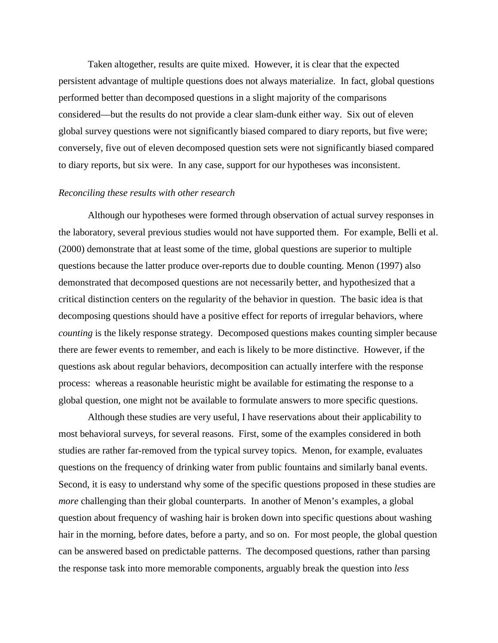Taken altogether, results are quite mixed. However, it is clear that the expected persistent advantage of multiple questions does not always materialize. In fact, global questions performed better than decomposed questions in a slight majority of the comparisons considered—but the results do not provide a clear slam-dunk either way. Six out of eleven global survey questions were not significantly biased compared to diary reports, but five were; conversely, five out of eleven decomposed question sets were not significantly biased compared to diary reports, but six were. In any case, support for our hypotheses was inconsistent.

#### *Reconciling these results with other research*

Although our hypotheses were formed through observation of actual survey responses in the laboratory, several previous studies would not have supported them. For example, Belli et al. (2000) demonstrate that at least some of the time, global questions are superior to multiple questions because the latter produce over-reports due to double counting. Menon (1997) also demonstrated that decomposed questions are not necessarily better, and hypothesized that a critical distinction centers on the regularity of the behavior in question. The basic idea is that decomposing questions should have a positive effect for reports of irregular behaviors, where *counting* is the likely response strategy. Decomposed questions makes counting simpler because there are fewer events to remember, and each is likely to be more distinctive. However, if the questions ask about regular behaviors, decomposition can actually interfere with the response process: whereas a reasonable heuristic might be available for estimating the response to a global question, one might not be available to formulate answers to more specific questions.

Although these studies are very useful, I have reservations about their applicability to most behavioral surveys, for several reasons. First, some of the examples considered in both studies are rather far-removed from the typical survey topics. Menon, for example, evaluates questions on the frequency of drinking water from public fountains and similarly banal events. Second, it is easy to understand why some of the specific questions proposed in these studies are *more* challenging than their global counterparts. In another of Menon's examples, a global question about frequency of washing hair is broken down into specific questions about washing hair in the morning, before dates, before a party, and so on. For most people, the global question can be answered based on predictable patterns. The decomposed questions, rather than parsing the response task into more memorable components, arguably break the question into *less*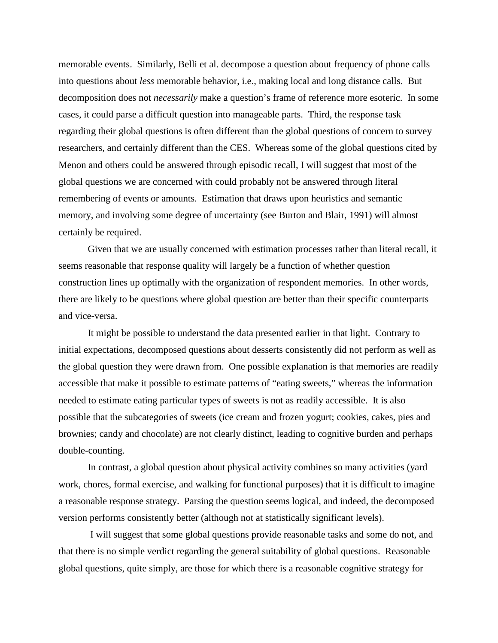memorable events. Similarly, Belli et al. decompose a question about frequency of phone calls into questions about *less* memorable behavior, i.e., making local and long distance calls. But decomposition does not *necessarily* make a question's frame of reference more esoteric. In some cases, it could parse a difficult question into manageable parts. Third, the response task regarding their global questions is often different than the global questions of concern to survey researchers, and certainly different than the CES. Whereas some of the global questions cited by Menon and others could be answered through episodic recall, I will suggest that most of the global questions we are concerned with could probably not be answered through literal remembering of events or amounts. Estimation that draws upon heuristics and semantic memory, and involving some degree of uncertainty (see Burton and Blair, 1991) will almost certainly be required.

Given that we are usually concerned with estimation processes rather than literal recall, it seems reasonable that response quality will largely be a function of whether question construction lines up optimally with the organization of respondent memories. In other words, there are likely to be questions where global question are better than their specific counterparts and vice-versa.

It might be possible to understand the data presented earlier in that light. Contrary to initial expectations, decomposed questions about desserts consistently did not perform as well as the global question they were drawn from. One possible explanation is that memories are readily accessible that make it possible to estimate patterns of "eating sweets," whereas the information needed to estimate eating particular types of sweets is not as readily accessible. It is also possible that the subcategories of sweets (ice cream and frozen yogurt; cookies, cakes, pies and brownies; candy and chocolate) are not clearly distinct, leading to cognitive burden and perhaps double-counting.

In contrast, a global question about physical activity combines so many activities (yard work, chores, formal exercise, and walking for functional purposes) that it is difficult to imagine a reasonable response strategy. Parsing the question seems logical, and indeed, the decomposed version performs consistently better (although not at statistically significant levels).

 I will suggest that some global questions provide reasonable tasks and some do not, and that there is no simple verdict regarding the general suitability of global questions. Reasonable global questions, quite simply, are those for which there is a reasonable cognitive strategy for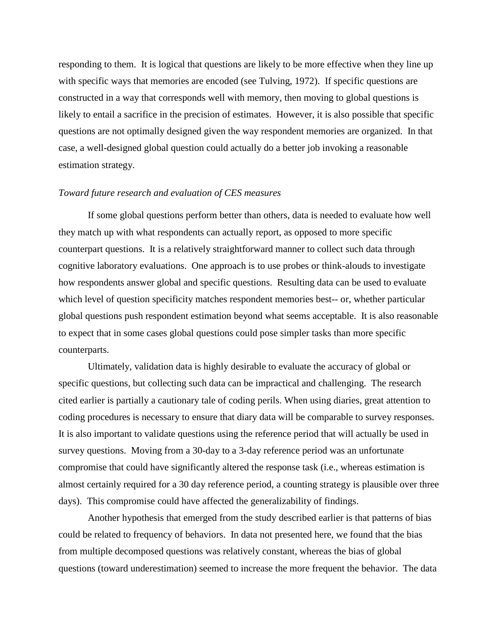responding to them. It is logical that questions are likely to be more effective when they line up with specific ways that memories are encoded (see Tulving, 1972). If specific questions are constructed in a way that corresponds well with memory, then moving to global questions is likely to entail a sacrifice in the precision of estimates. However, it is also possible that specific questions are not optimally designed given the way respondent memories are organized. In that case, a well-designed global question could actually do a better job invoking a reasonable estimation strategy.

#### *Toward future research and evaluation of CES measures*

If some global questions perform better than others, data is needed to evaluate how well they match up with what respondents can actually report, as opposed to more specific counterpart questions. It is a relatively straightforward manner to collect such data through cognitive laboratory evaluations. One approach is to use probes or think-alouds to investigate how respondents answer global and specific questions. Resulting data can be used to evaluate which level of question specificity matches respondent memories best-- or, whether particular global questions push respondent estimation beyond what seems acceptable. It is also reasonable to expect that in some cases global questions could pose simpler tasks than more specific counterparts.

Ultimately, validation data is highly desirable to evaluate the accuracy of global or specific questions, but collecting such data can be impractical and challenging. The research cited earlier is partially a cautionary tale of coding perils. When using diaries, great attention to coding procedures is necessary to ensure that diary data will be comparable to survey responses. It is also important to validate questions using the reference period that will actually be used in survey questions. Moving from a 30-day to a 3-day reference period was an unfortunate compromise that could have significantly altered the response task (i.e., whereas estimation is almost certainly required for a 30 day reference period, a counting strategy is plausible over three days). This compromise could have affected the generalizability of findings.

Another hypothesis that emerged from the study described earlier is that patterns of bias could be related to frequency of behaviors. In data not presented here, we found that the bias from multiple decomposed questions was relatively constant, whereas the bias of global questions (toward underestimation) seemed to increase the more frequent the behavior. The data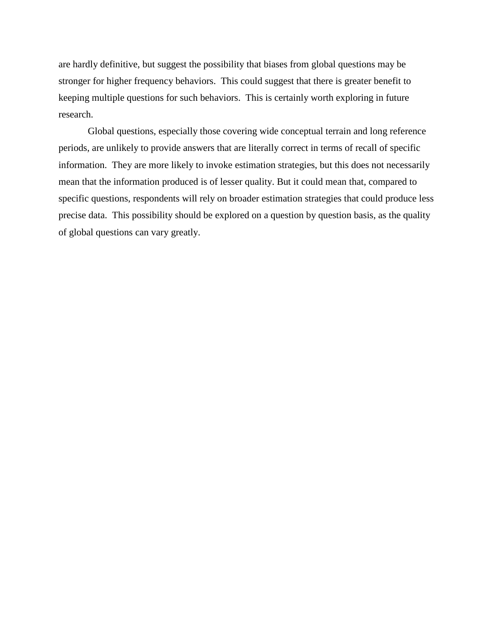are hardly definitive, but suggest the possibility that biases from global questions may be stronger for higher frequency behaviors. This could suggest that there is greater benefit to keeping multiple questions for such behaviors. This is certainly worth exploring in future research.

Global questions, especially those covering wide conceptual terrain and long reference periods, are unlikely to provide answers that are literally correct in terms of recall of specific information. They are more likely to invoke estimation strategies, but this does not necessarily mean that the information produced is of lesser quality. But it could mean that, compared to specific questions, respondents will rely on broader estimation strategies that could produce less precise data. This possibility should be explored on a question by question basis, as the quality of global questions can vary greatly.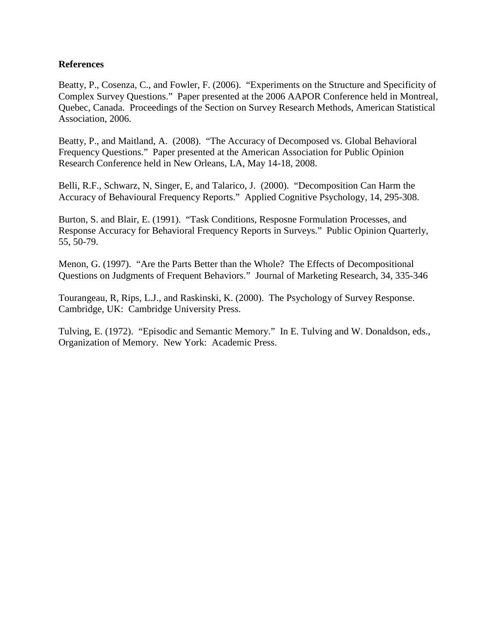## **References**

Beatty, P., Cosenza, C., and Fowler, F. (2006). "Experiments on the Structure and Specificity of Complex Survey Questions." Paper presented at the 2006 AAPOR Conference held in Montreal, Quebec, Canada. Proceedings of the Section on Survey Research Methods, American Statistical Association, 2006.

Beatty, P., and Maitland, A. (2008). "The Accuracy of Decomposed vs. Global Behavioral Frequency Questions." Paper presented at the American Association for Public Opinion Research Conference held in New Orleans, LA, May 14-18, 2008.

Belli, R.F., Schwarz, N, Singer, E, and Talarico, J. (2000). "Decomposition Can Harm the Accuracy of Behavioural Frequency Reports." Applied Cognitive Psychology, 14, 295-308.

Burton, S. and Blair, E. (1991). "Task Conditions, Resposne Formulation Processes, and Response Accuracy for Behavioral Frequency Reports in Surveys." Public Opinion Quarterly, 55, 50-79.

Menon, G. (1997). "Are the Parts Better than the Whole? The Effects of Decompositional Questions on Judgments of Frequent Behaviors." Journal of Marketing Research, 34, 335-346

Tourangeau, R, Rips, L.J., and Raskinski, K. (2000). The Psychology of Survey Response. Cambridge, UK: Cambridge University Press.

Tulving, E. (1972). "Episodic and Semantic Memory." In E. Tulving and W. Donaldson, eds., Organization of Memory. New York: Academic Press.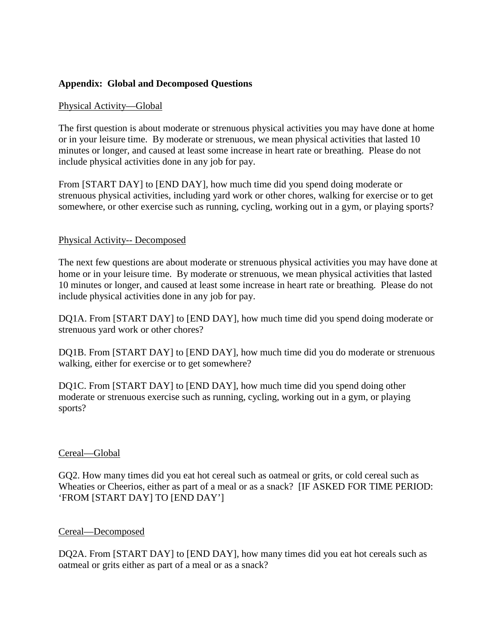# **Appendix: Global and Decomposed Questions**

## Physical Activity—Global

The first question is about moderate or strenuous physical activities you may have done at home or in your leisure time. By moderate or strenuous, we mean physical activities that lasted 10 minutes or longer, and caused at least some increase in heart rate or breathing. Please do not include physical activities done in any job for pay.

From [START DAY] to [END DAY], how much time did you spend doing moderate or strenuous physical activities, including yard work or other chores, walking for exercise or to get somewhere, or other exercise such as running, cycling, working out in a gym, or playing sports?

## Physical Activity-- Decomposed

The next few questions are about moderate or strenuous physical activities you may have done at home or in your leisure time. By moderate or strenuous, we mean physical activities that lasted 10 minutes or longer, and caused at least some increase in heart rate or breathing. Please do not include physical activities done in any job for pay.

DQ1A. From [START DAY] to [END DAY], how much time did you spend doing moderate or strenuous yard work or other chores?

DQ1B. From [START DAY] to [END DAY], how much time did you do moderate or strenuous walking, either for exercise or to get somewhere?

DQ1C. From [START DAY] to [END DAY], how much time did you spend doing other moderate or strenuous exercise such as running, cycling, working out in a gym, or playing sports?

## Cereal—Global

GQ2. How many times did you eat hot cereal such as oatmeal or grits, or cold cereal such as Wheaties or Cheerios, either as part of a meal or as a snack? [IF ASKED FOR TIME PERIOD: 'FROM [START DAY] TO [END DAY']

## Cereal—Decomposed

DQ2A. From [START DAY] to [END DAY], how many times did you eat hot cereals such as oatmeal or grits either as part of a meal or as a snack?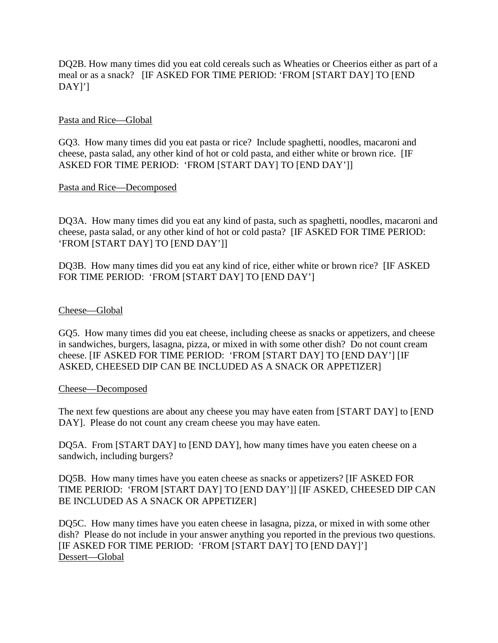DQ2B. How many times did you eat cold cereals such as Wheaties or Cheerios either as part of a meal or as a snack? [IF ASKED FOR TIME PERIOD: 'FROM [START DAY] TO [END DAY]']

## Pasta and Rice—Global

GQ3. How many times did you eat pasta or rice? Include spaghetti, noodles, macaroni and cheese, pasta salad, any other kind of hot or cold pasta, and either white or brown rice. [IF ASKED FOR TIME PERIOD: 'FROM [START DAY] TO [END DAY']]

Pasta and Rice—Decomposed

DQ3A. How many times did you eat any kind of pasta, such as spaghetti, noodles, macaroni and cheese, pasta salad, or any other kind of hot or cold pasta? [IF ASKED FOR TIME PERIOD: 'FROM [START DAY] TO [END DAY']]

DQ3B. How many times did you eat any kind of rice, either white or brown rice? [IF ASKED FOR TIME PERIOD: 'FROM [START DAY] TO [END DAY']

## Cheese—Global

GQ5. How many times did you eat cheese, including cheese as snacks or appetizers, and cheese in sandwiches, burgers, lasagna, pizza, or mixed in with some other dish? Do not count cream cheese. [IF ASKED FOR TIME PERIOD: 'FROM [START DAY] TO [END DAY'] [IF ASKED, CHEESED DIP CAN BE INCLUDED AS A SNACK OR APPETIZER]

## Cheese—Decomposed

The next few questions are about any cheese you may have eaten from [START DAY] to [END DAY]. Please do not count any cream cheese you may have eaten.

DQ5A. From [START DAY] to [END DAY], how many times have you eaten cheese on a sandwich, including burgers?

DQ5B. How many times have you eaten cheese as snacks or appetizers? [IF ASKED FOR TIME PERIOD: 'FROM [START DAY] TO [END DAY']] [IF ASKED, CHEESED DIP CAN BE INCLUDED AS A SNACK OR APPETIZER]

DQ5C. How many times have you eaten cheese in lasagna, pizza, or mixed in with some other dish? Please do not include in your answer anything you reported in the previous two questions. [IF ASKED FOR TIME PERIOD: 'FROM [START DAY] TO [END DAY]'] Dessert—Global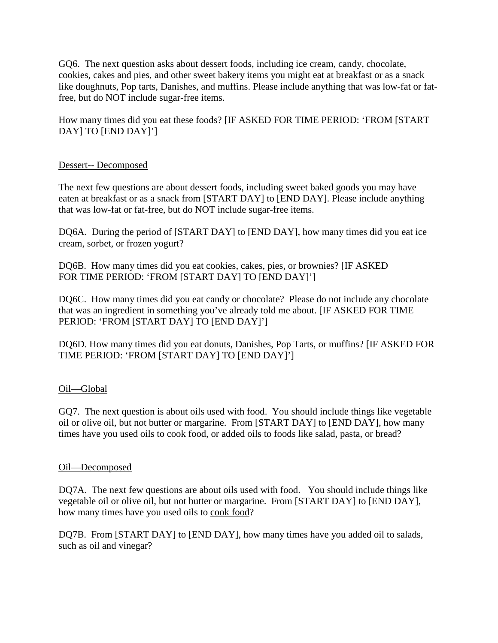GQ6. The next question asks about dessert foods, including ice cream, candy, chocolate, cookies, cakes and pies, and other sweet bakery items you might eat at breakfast or as a snack like doughnuts, Pop tarts, Danishes, and muffins. Please include anything that was low-fat or fatfree, but do NOT include sugar-free items.

How many times did you eat these foods? [IF ASKED FOR TIME PERIOD: 'FROM [START DAY] TO [END DAY]']

# Dessert-- Decomposed

The next few questions are about dessert foods, including sweet baked goods you may have eaten at breakfast or as a snack from [START DAY] to [END DAY]. Please include anything that was low-fat or fat-free, but do NOT include sugar-free items.

DQ6A. During the period of [START DAY] to [END DAY], how many times did you eat ice cream, sorbet, or frozen yogurt?

DQ6B. How many times did you eat cookies, cakes, pies, or brownies? [IF ASKED FOR TIME PERIOD: 'FROM [START DAY] TO [END DAY]']

DQ6C. How many times did you eat candy or chocolate? Please do not include any chocolate that was an ingredient in something you've already told me about. [IF ASKED FOR TIME PERIOD: 'FROM [START DAY] TO [END DAY]']

DQ6D. How many times did you eat donuts, Danishes, Pop Tarts, or muffins? [IF ASKED FOR TIME PERIOD: 'FROM [START DAY] TO [END DAY]']

## Oil—Global

GQ7. The next question is about oils used with food. You should include things like vegetable oil or olive oil, but not butter or margarine. From [START DAY] to [END DAY], how many times have you used oils to cook food, or added oils to foods like salad, pasta, or bread?

## Oil—Decomposed

DQ7A. The next few questions are about oils used with food. You should include things like vegetable oil or olive oil, but not butter or margarine. From [START DAY] to [END DAY], how many times have you used oils to cook food?

DQ7B. From [START DAY] to [END DAY], how many times have you added oil to salads, such as oil and vinegar?